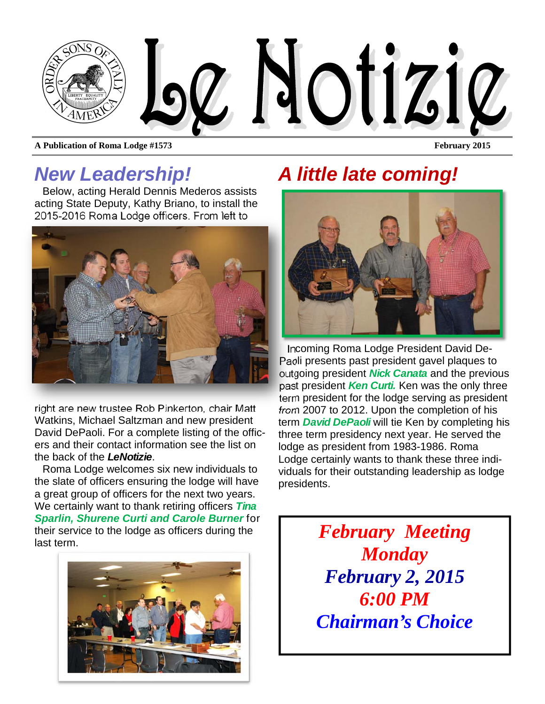

**A Publication of Roma Lodge #1573** February 2015

## *New Leadership!*

Below, acting Herald Dennis Mederos assists acting State Deputy, Kathy Briano, to install the 2015-2016 Roma Lodge officers. From left to



right are new trustee Rob Pinkerton, chair Matt Watkins, Michael Saltzman and new president David DePaoli. For a complete listing of the officers and their contact information see the list on the back of the *LeNotizie*.

Roma Lodge welcomes six new individuals to the slate of officers ensuring the lodge will have a great group of officers for the next two years. We certainly want to thank retiring officers *Tina Sparlin, Shurene Curti and Carole Burner* for their service to the lodge as officers during the last term.



# *A little late coming!*



Incoming Roma Lodge President David De-Paoli presents past president gavel plaques to outgoing president *Nick Canata* and the previous past president *Ken Curti.* Ken was the only three term president for the lodge serving as president from 2007 to 2012. Upon the completion of his term *David DePaoli* will tie Ken by completing his three term presidency next year. He served the lodge as president from 1983-1986. Roma Lodge certainly wants to thank these three individuals for their outstanding leadership as lodge presidents.

> *February Meeting Monday February 2, 2015 6:00 PM Chairman's Choice*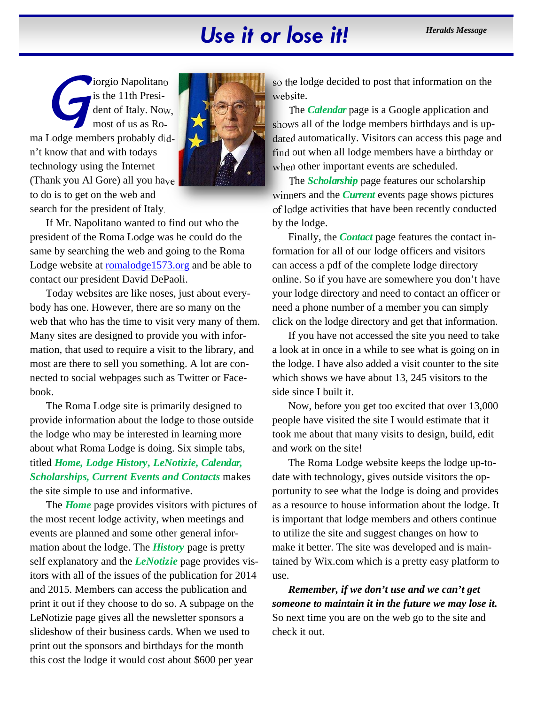# Use it or lose it! *Heralds Message*

*i*orgio Napolitano is the 11th President of Italy. Now, most of us as Roma Lodge members probably didn't know that and with todays technology using the Internet (Thank you Al Gore) all you have to do is to get on the web and search for the president of Italy.



If Mr. Napolitano wanted to find out who the president of the Roma Lodge was he could do the same by searching the web and going to the Roma Lodge website at romalodge1573.org and be able to contact our president David DePaoli.

Today websites are like noses, just about everybody has one. However, there are so many on the web that who has the time to visit very many of them. Many sites are designed to provide you with information, that used to require a visit to the library, and most are there to sell you something. A lot are connected to social webpages such as Twitter or Facebook.

The Roma Lodge site is primarily designed to provide information about the lodge to those outside the lodge who may be interested in learning more about what Roma Lodge is doing. Six simple tabs, titled *Home, Lodge History, LeNotizie, Calendar, Scholarships, Current Events and Contacts* makes the site simple to use and informative.

The *Home* page provides visitors with pictures of the most recent lodge activity, when meetings and events are planned and some other general information about the lodge. The *History* page is pretty self explanatory and the *LeNotizie* page provides visitors with all of the issues of the publication for 2014 and 2015. Members can access the publication and print it out if they choose to do so. A subpage on the LeNotizie page gives all the newsletter sponsors a slideshow of their business cards. When we used to print out the sponsors and birthdays for the month this cost the lodge it would cost about \$600 per year

so the lodge decided to post that information on the website.

The *Calendar* page is a Google application and shows all of the lodge members birthdays and is updated automatically. Visitors can access this page and find out when all lodge members have a birthday or when other important events are scheduled.

The *Scholarship* page features our scholarship winners and the *Current* events page shows pictures of lodge activities that have been recently conducted by the lodge.

Finally, the *Contact* page features the contact information for all of our lodge officers and visitors can access a pdf of the complete lodge directory online. So if you have are somewhere you don't have your lodge directory and need to contact an officer or need a phone number of a member you can simply click on the lodge directory and get that information.

If you have not accessed the site you need to take a look at in once in a while to see what is going on in the lodge. I have also added a visit counter to the site which shows we have about 13, 245 visitors to the side since I built it.

Now, before you get too excited that over 13,000 people have visited the site I would estimate that it took me about that many visits to design, build, edit and work on the site!

The Roma Lodge website keeps the lodge up-todate with technology, gives outside visitors the opportunity to see what the lodge is doing and provides as a resource to house information about the lodge. It is important that lodge members and others continue to utilize the site and suggest changes on how to make it better. The site was developed and is maintained by Wix.com which is a pretty easy platform to use.

*Remember, if we don't use and we can't get someone to maintain it in the future we may lose it.*  So next time you are on the web go to the site and check it out.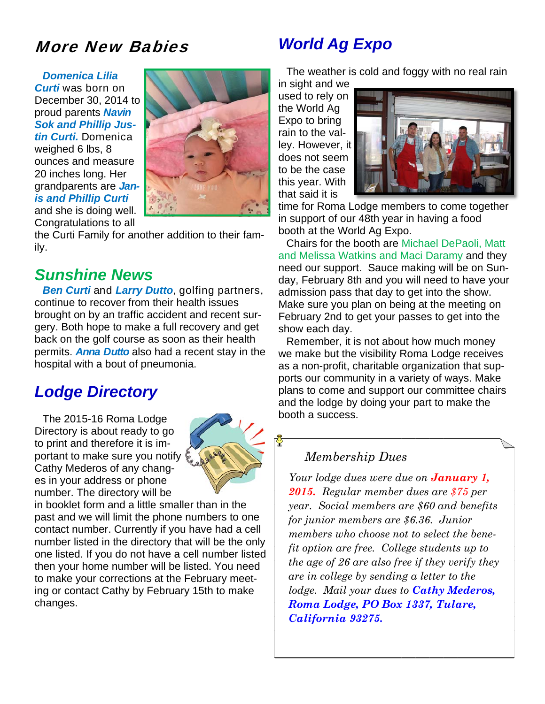## More New Babies

*Domenica Lilia Curti* was born on December 30, 2014 to proud parents *Navin Sok and Phillip Justin Curti.* Domenica weighed 6 lbs, 8 ounces and measure 20 inches long. Her grandparents are *Janis and Phillip Curti*  and she is doing well.



Congratulations to all the Curti Family for another addition to their family.

### *Sunshine News*

*Ben Curti* and *Larry Dutto*, golfing partners, continue to recover from their health issues brought on by an traffic accident and recent surgery. Both hope to make a full recovery and get back on the golf course as soon as their health permits. *Anna Dutto* also had a recent stay in the hospital with a bout of pneumonia.

## *Lodge Directory*

The 2015-16 Roma Lodge Directory is about ready to go to print and therefore it is important to make sure you notify Cathy Mederos of any changes in your address or phone number. The directory will be



in booklet form and a little smaller than in the past and we will limit the phone numbers to one contact number. Currently if you have had a cell number listed in the directory that will be the only one listed. If you do not have a cell number listed then your home number will be listed. You need to make your corrections at the February meeting or contact Cathy by February 15th to make changes.

## *World Ag Expo*

The weather is cold and foggy with no real rain

in sight and we used to rely on the World Ag Expo to bring rain to the valley. However, it does not seem to be the case this year. With that said it is



time for Roma Lodge members to come together in support of our 48th year in having a food booth at the World Ag Expo.

Chairs for the booth are Michael DePaoli, Matt and Melissa Watkins and Maci Daramy and they need our support. Sauce making will be on Sunday, February 8th and you will need to have your admission pass that day to get into the show. Make sure you plan on being at the meeting on February 2nd to get your passes to get into the show each day.

Remember, it is not about how much money we make but the visibility Roma Lodge receives as a non-profit, charitable organization that supports our community in a variety of ways. Make plans to come and support our committee chairs and the lodge by doing your part to make the booth a success.

#### *Membership Dues*

*Your lodge dues were due on January 1, 2015. Regular member dues are \$75 per year. Social members are \$60 and benefits for junior members are \$6.36. Junior members who choose not to select the benefit option are free. College students up to the age of 26 are also free if they verify they are in college by sending a letter to the lodge. Mail your dues to Cathy Mederos, Roma Lodge, PO Box 1337, Tulare, California 93275.*